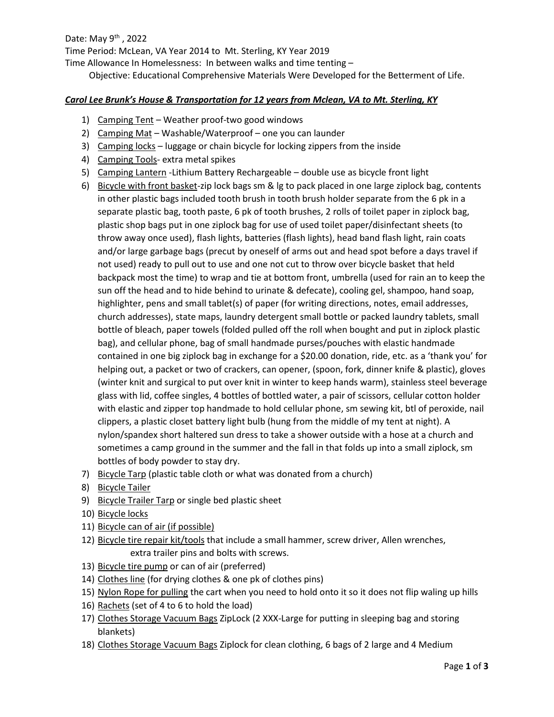Date: May  $9^{th}$ , 2022 Time Period: McLean, VA Year 2014 to Mt. Sterling, KY Year 2019 Time Allowance In Homelessness: In between walks and time tenting – Objective: Educational Comprehensive Materials Were Developed for the Betterment of Life.

## *Carol Lee Brunk's House & Transportation for 12 years from Mclean, VA to Mt. Sterling, KY*

- 1) Camping Tent Weather proof-two good windows
- 2) Camping Mat Washable/Waterproof one you can launder
- 3) Camping locks luggage or chain bicycle for locking zippers from the inside
- 4) Camping Tools- extra metal spikes
- 5) Camping Lantern -Lithium Battery Rechargeable double use as bicycle front light
- 6) Bicycle with front basket-zip lock bags sm & lg to pack placed in one large ziplock bag, contents in other plastic bags included tooth brush in tooth brush holder separate from the 6 pk in a separate plastic bag, tooth paste, 6 pk of tooth brushes, 2 rolls of toilet paper in ziplock bag, plastic shop bags put in one ziplock bag for use of used toilet paper/disinfectant sheets (to throw away once used), flash lights, batteries (flash lights), head band flash light, rain coats and/or large garbage bags (precut by oneself of arms out and head spot before a days travel if not used) ready to pull out to use and one not cut to throw over bicycle basket that held backpack most the time) to wrap and tie at bottom front, umbrella (used for rain an to keep the sun off the head and to hide behind to urinate & defecate), cooling gel, shampoo, hand soap, highlighter, pens and small tablet(s) of paper (for writing directions, notes, email addresses, church addresses), state maps, laundry detergent small bottle or packed laundry tablets, small bottle of bleach, paper towels (folded pulled off the roll when bought and put in ziplock plastic bag), and cellular phone, bag of small handmade purses/pouches with elastic handmade contained in one big ziplock bag in exchange for a \$20.00 donation, ride, etc. as a 'thank you' for helping out, a packet or two of crackers, can opener, (spoon, fork, dinner knife & plastic), gloves (winter knit and surgical to put over knit in winter to keep hands warm), stainless steel beverage glass with lid, coffee singles, 4 bottles of bottled water, a pair of scissors, cellular cotton holder with elastic and zipper top handmade to hold cellular phone, sm sewing kit, btl of peroxide, nail clippers, a plastic closet battery light bulb (hung from the middle of my tent at night). A nylon/spandex short haltered sun dress to take a shower outside with a hose at a church and sometimes a camp ground in the summer and the fall in that folds up into a small ziplock, sm bottles of body powder to stay dry.
- 7) Bicycle Tarp (plastic table cloth or what was donated from a church)
- 8) Bicycle Tailer
- 9) Bicycle Trailer Tarp or single bed plastic sheet
- 10) Bicycle locks
- 11) Bicycle can of air (if possible)
- 12) Bicycle tire repair kit/tools that include a small hammer, screw driver, Allen wrenches, extra trailer pins and bolts with screws.
- 13) Bicycle tire pump or can of air (preferred)
- 14) Clothes line (for drying clothes & one pk of clothes pins)
- 15) Nylon Rope for pulling the cart when you need to hold onto it so it does not flip waling up hills
- 16) Rachets (set of 4 to 6 to hold the load)
- 17) Clothes Storage Vacuum Bags ZipLock (2 XXX-Large for putting in sleeping bag and storing blankets)
- 18) Clothes Storage Vacuum Bags Ziplock for clean clothing, 6 bags of 2 large and 4 Medium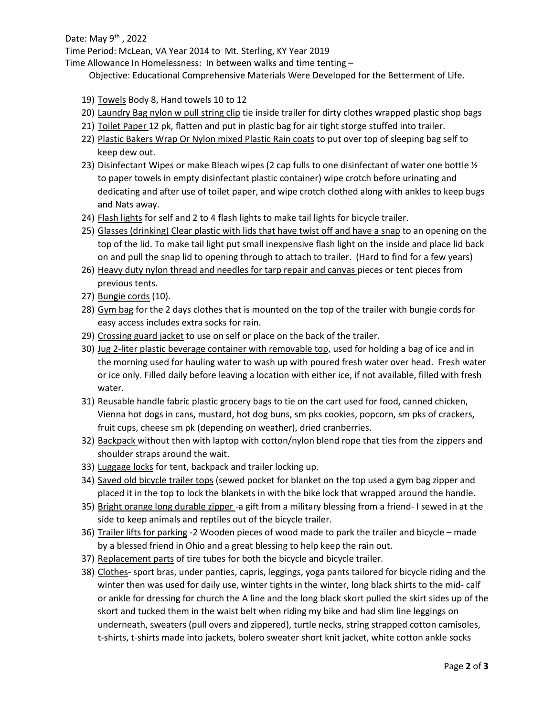## Date: May  $9^{th}$ , 2022

Time Period: McLean, VA Year 2014 to Mt. Sterling, KY Year 2019

Time Allowance In Homelessness: In between walks and time tenting –

Objective: Educational Comprehensive Materials Were Developed for the Betterment of Life.

- 19) Towels Body 8, Hand towels 10 to 12
- 20) Laundry Bag nylon w pull string clip tie inside trailer for dirty clothes wrapped plastic shop bags
- 21) Toilet Paper 12 pk, flatten and put in plastic bag for air tight storge stuffed into trailer.
- 22) Plastic Bakers Wrap Or Nylon mixed Plastic Rain coats to put over top of sleeping bag self to keep dew out.
- 23) Disinfectant Wipes or make Bleach wipes (2 cap fulls to one disinfectant of water one bottle  $\mathcal{V}_2$ to paper towels in empty disinfectant plastic container) wipe crotch before urinating and dedicating and after use of toilet paper, and wipe crotch clothed along with ankles to keep bugs and Nats away.
- 24) Flash lights for self and 2 to 4 flash lights to make tail lights for bicycle trailer.
- 25) Glasses (drinking) Clear plastic with lids that have twist off and have a snap to an opening on the top of the lid. To make tail light put small inexpensive flash light on the inside and place lid back on and pull the snap lid to opening through to attach to trailer. (Hard to find for a few years)
- 26) Heavy duty nylon thread and needles for tarp repair and canvas pieces or tent pieces from previous tents.
- 27) Bungie cords (10).
- 28) Gym bag for the 2 days clothes that is mounted on the top of the trailer with bungie cords for easy access includes extra socks for rain.
- 29) Crossing guard jacket to use on self or place on the back of the trailer.
- 30) Jug 2-liter plastic beverage container with removable top, used for holding a bag of ice and in the morning used for hauling water to wash up with poured fresh water over head. Fresh water or ice only. Filled daily before leaving a location with either ice, if not available, filled with fresh water.
- 31) Reusable handle fabric plastic grocery bags to tie on the cart used for food, canned chicken, Vienna hot dogs in cans, mustard, hot dog buns, sm pks cookies, popcorn, sm pks of crackers, fruit cups, cheese sm pk (depending on weather), dried cranberries.
- 32) Backpack without then with laptop with cotton/nylon blend rope that ties from the zippers and shoulder straps around the wait.
- 33) Luggage locks for tent, backpack and trailer locking up.
- 34) Saved old bicycle trailer tops (sewed pocket for blanket on the top used a gym bag zipper and placed it in the top to lock the blankets in with the bike lock that wrapped around the handle.
- 35) Bright orange long durable zipper -a gift from a military blessing from a friend- I sewed in at the side to keep animals and reptiles out of the bicycle trailer.
- 36) Trailer lifts for parking -2 Wooden pieces of wood made to park the trailer and bicycle made by a blessed friend in Ohio and a great blessing to help keep the rain out.
- 37) Replacement parts of tire tubes for both the bicycle and bicycle trailer.
- 38) Clothes- sport bras, under panties, capris, leggings, yoga pants tailored for bicycle riding and the winter then was used for daily use, winter tights in the winter, long black shirts to the mid- calf or ankle for dressing for church the A line and the long black skort pulled the skirt sides up of the skort and tucked them in the waist belt when riding my bike and had slim line leggings on underneath, sweaters (pull overs and zippered), turtle necks, string strapped cotton camisoles, t-shirts, t-shirts made into jackets, bolero sweater short knit jacket, white cotton ankle socks